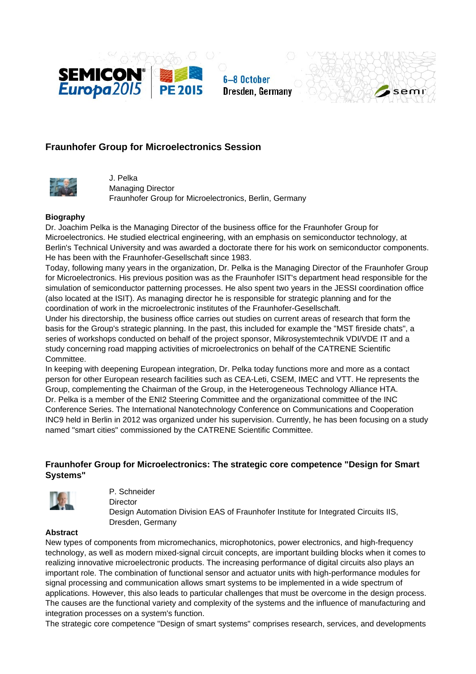

**6-8 October** Dresden, Germany



# **Fraunhofer Group for Microelectronics Session**



J. Pelka Managing Director Fraunhofer Group for Microelectronics, Berlin, Germany

### **Biography**

Dr. Joachim Pelka is the Managing Director of the business office for the Fraunhofer Group for Microelectronics. He studied electrical engineering, with an emphasis on semiconductor technology, at Berlin's Technical University and was awarded a doctorate there for his work on semiconductor components. He has been with the Fraunhofer-Gesellschaft since 1983.

Today, following many years in the organization, Dr. Pelka is the Managing Director of the Fraunhofer Group for Microelectronics. His previous position was as the Fraunhofer ISIT's department head responsible for the simulation of semiconductor patterning processes. He also spent two years in the JESSI coordination office (also located at the ISIT). As managing director he is responsible for strategic planning and for the coordination of work in the microelectronic institutes of the Fraunhofer-Gesellschaft.

Under his directorship, the business office carries out studies on current areas of research that form the basis for the Group's strategic planning. In the past, this included for example the "MST fireside chats", a series of workshops conducted on behalf of the project sponsor, Mikrosystemtechnik VDI/VDE IT and a study concerning road mapping activities of microelectronics on behalf of the CATRENE Scientific Committee.

In keeping with deepening European integration, Dr. Pelka today functions more and more as a contact person for other European research facilities such as CEA-Leti, CSEM, IMEC and VTT. He represents the Group, complementing the Chairman of the Group, in the Heterogeneous Technology Alliance HTA. Dr. Pelka is a member of the ENI2 Steering Committee and the organizational committee of the INC Conference Series. The International Nanotechnology Conference on Communications and Cooperation INC9 held in Berlin in 2012 was organized under his supervision. Currently, he has been focusing on a study named "smart cities" commissioned by the CATRENE Scientific Committee.

## **Fraunhofer Group for Microelectronics: The strategic core competence "Design for Smart Systems"**



P. Schneider **Director** 

Design Automation Division EAS of Fraunhofer Institute for Integrated Circuits IIS, Dresden, Germany

#### **Abstract**

New types of components from micromechanics, microphotonics, power electronics, and high-frequency technology, as well as modern mixed-signal circuit concepts, are important building blocks when it comes to realizing innovative microelectronic products. The increasing performance of digital circuits also plays an important role. The combination of functional sensor and actuator units with high-performance modules for signal processing and communication allows smart systems to be implemented in a wide spectrum of applications. However, this also leads to particular challenges that must be overcome in the design process. The causes are the functional variety and complexity of the systems and the influence of manufacturing and integration processes on a system's function.

The strategic core competence "Design of smart systems" comprises research, services, and developments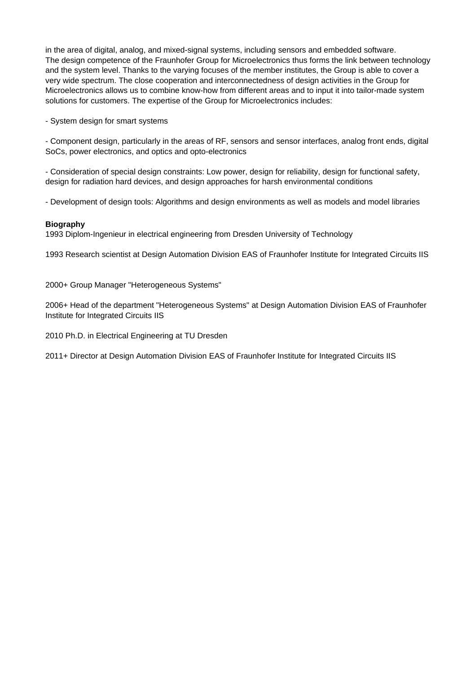in the area of digital, analog, and mixed-signal systems, including sensors and embedded software. The design competence of the Fraunhofer Group for Microelectronics thus forms the link between technology and the system level. Thanks to the varying focuses of the member institutes, the Group is able to cover a very wide spectrum. The close cooperation and interconnectedness of design activities in the Group for Microelectronics allows us to combine know-how from different areas and to input it into tailor-made system solutions for customers. The expertise of the Group for Microelectronics includes:

- System design for smart systems

- Component design, particularly in the areas of RF, sensors and sensor interfaces, analog front ends, digital SoCs, power electronics, and optics and opto-electronics

- Consideration of special design constraints: Low power, design for reliability, design for functional safety, design for radiation hard devices, and design approaches for harsh environmental conditions

- Development of design tools: Algorithms and design environments as well as models and model libraries

### **Biography**

1993 Diplom-Ingenieur in electrical engineering from Dresden University of Technology

1993 Research scientist at Design Automation Division EAS of Fraunhofer Institute for Integrated Circuits IIS

2000+ Group Manager "Heterogeneous Systems"

2006+ Head of the department "Heterogeneous Systems" at Design Automation Division EAS of Fraunhofer Institute for Integrated Circuits IIS

2010 Ph.D. in Electrical Engineering at TU Dresden

2011+ Director at Design Automation Division EAS of Fraunhofer Institute for Integrated Circuits IIS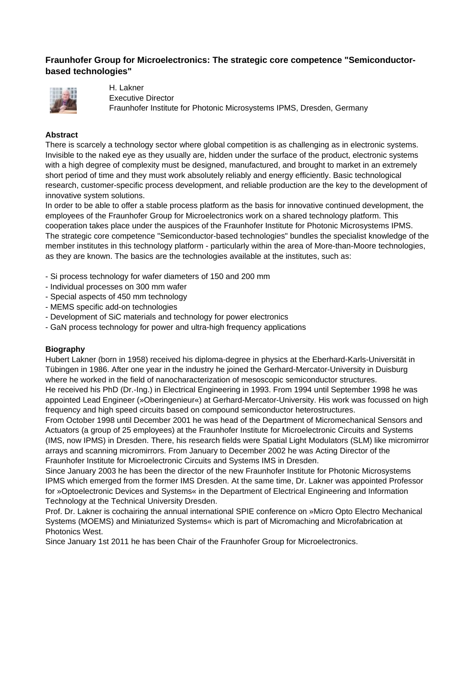## **Fraunhofer Group for Microelectronics: The strategic core competence "Semiconductorbased technologies"**



H. Lakner Executive Director Fraunhofer Institute for Photonic Microsystems IPMS, Dresden, Germany

### **Abstract**

There is scarcely a technology sector where global competition is as challenging as in electronic systems. Invisible to the naked eye as they usually are, hidden under the surface of the product, electronic systems with a high degree of complexity must be designed, manufactured, and brought to market in an extremely short period of time and they must work absolutely reliably and energy efficiently. Basic technological research, customer-specific process development, and reliable production are the key to the development of innovative system solutions.

In order to be able to offer a stable process platform as the basis for innovative continued development, the employees of the Fraunhofer Group for Microelectronics work on a shared technology platform. This cooperation takes place under the auspices of the Fraunhofer Institute for Photonic Microsystems IPMS. The strategic core competence "Semiconductor-based technologies" bundles the specialist knowledge of the member institutes in this technology platform - particularly within the area of More-than-Moore technologies, as they are known. The basics are the technologies available at the institutes, such as:

- Si process technology for wafer diameters of 150 and 200 mm
- Individual processes on 300 mm wafer
- Special aspects of 450 mm technology
- MEMS specific add-on technologies
- Development of SiC materials and technology for power electronics
- GaN process technology for power and ultra-high frequency applications

### **Biography**

Hubert Lakner (born in 1958) received his diploma-degree in physics at the Eberhard-Karls-Universität in Tübingen in 1986. After one year in the industry he joined the Gerhard-Mercator-University in Duisburg where he worked in the field of nanocharacterization of mesoscopic semiconductor structures. He received his PhD (Dr.-Ing.) in Electrical Engineering in 1993. From 1994 until September 1998 he was appointed Lead Engineer (»Oberingenieur«) at Gerhard-Mercator-University. His work was focussed on high frequency and high speed circuits based on compound semiconductor heterostructures.

From October 1998 until December 2001 he was head of the Department of Micromechanical Sensors and Actuators (a group of 25 employees) at the Fraunhofer Institute for Microelectronic Circuits and Systems (IMS, now IPMS) in Dresden. There, his research fields were Spatial Light Modulators (SLM) like micromirror arrays and scanning micromirrors. From January to December 2002 he was Acting Director of the Fraunhofer Institute for Microelectronic Circuits and Systems IMS in Dresden.

Since January 2003 he has been the director of the new Fraunhofer Institute for Photonic Microsystems IPMS which emerged from the former IMS Dresden. At the same time, Dr. Lakner was appointed Professor for »Optoelectronic Devices and Systems« in the Department of Electrical Engineering and Information Technology at the Technical University Dresden.

Prof. Dr. Lakner is cochairing the annual international SPIE conference on »Micro Opto Electro Mechanical Systems (MOEMS) and Miniaturized Systems« which is part of Micromaching and Microfabrication at Photonics West.

Since January 1st 2011 he has been Chair of the Fraunhofer Group for Microelectronics.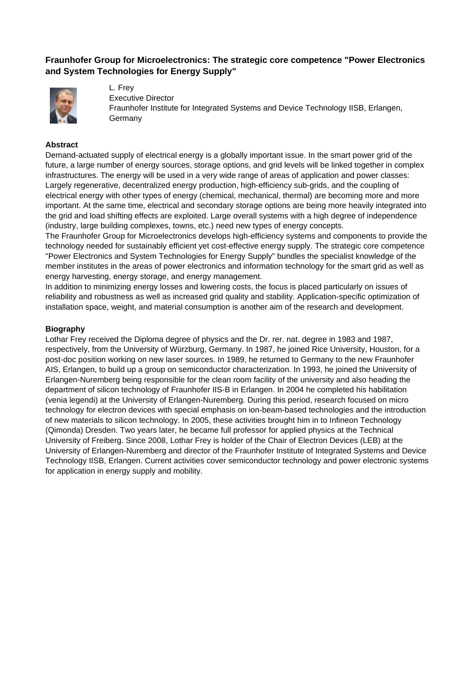## **Fraunhofer Group for Microelectronics: The strategic core competence "Power Electronics and System Technologies for Energy Supply"**



L. Frey Executive Director Fraunhofer Institute for Integrated Systems and Device Technology IISB, Erlangen, **Germany** 

#### **Abstract**

Demand-actuated supply of electrical energy is a globally important issue. In the smart power grid of the future, a large number of energy sources, storage options, and grid levels will be linked together in complex infrastructures. The energy will be used in a very wide range of areas of application and power classes: Largely regenerative, decentralized energy production, high-efficiency sub-grids, and the coupling of electrical energy with other types of energy (chemical, mechanical, thermal) are becoming more and more important. At the same time, electrical and secondary storage options are being more heavily integrated into the grid and load shifting effects are exploited. Large overall systems with a high degree of independence (industry, large building complexes, towns, etc.) need new types of energy concepts.

The Fraunhofer Group for Microelectronics develops high-efficiency systems and components to provide the technology needed for sustainably efficient yet cost-effective energy supply. The strategic core competence "Power Electronics and System Technologies for Energy Supply" bundles the specialist knowledge of the member institutes in the areas of power electronics and information technology for the smart grid as well as energy harvesting, energy storage, and energy management.

In addition to minimizing energy losses and lowering costs, the focus is placed particularly on issues of reliability and robustness as well as increased grid quality and stability. Application-specific optimization of installation space, weight, and material consumption is another aim of the research and development.

#### **Biography**

Lothar Frey received the Diploma degree of physics and the Dr. rer. nat. degree in 1983 and 1987, respectively, from the University of Würzburg, Germany. In 1987, he joined Rice University, Houston, for a post-doc position working on new laser sources. In 1989, he returned to Germany to the new Fraunhofer AIS, Erlangen, to build up a group on semiconductor characterization. In 1993, he joined the University of Erlangen-Nuremberg being responsible for the clean room facility of the university and also heading the department of silicon technology of Fraunhofer IIS-B in Erlangen. In 2004 he completed his habilitation (venia legendi) at the University of Erlangen-Nuremberg. During this period, research focused on micro technology for electron devices with special emphasis on ion-beam-based technologies and the introduction of new materials to silicon technology. In 2005, these activities brought him in to Infineon Technology (Qimonda) Dresden. Two years later, he became full professor for applied physics at the Technical University of Freiberg. Since 2008, Lothar Frey is holder of the Chair of Electron Devices (LEB) at the University of Erlangen-Nuremberg and director of the Fraunhofer Institute of Integrated Systems and Device Technology IISB, Erlangen. Current activities cover semiconductor technology and power electronic systems for application in energy supply and mobility.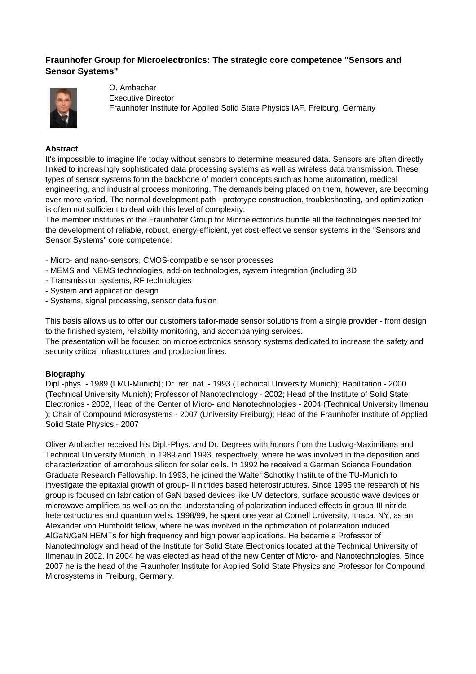## **Fraunhofer Group for Microelectronics: The strategic core competence "Sensors and Sensor Systems"**



O. Ambacher Executive Director Fraunhofer Institute for Applied Solid State Physics IAF, Freiburg, Germany

#### **Abstract**

It's impossible to imagine life today without sensors to determine measured data. Sensors are often directly linked to increasingly sophisticated data processing systems as well as wireless data transmission. These types of sensor systems form the backbone of modern concepts such as home automation, medical engineering, and industrial process monitoring. The demands being placed on them, however, are becoming ever more varied. The normal development path - prototype construction, troubleshooting, and optimization is often not sufficient to deal with this level of complexity.

The member institutes of the Fraunhofer Group for Microelectronics bundle all the technologies needed for the development of reliable, robust, energy-efficient, yet cost-effective sensor systems in the "Sensors and Sensor Systems" core competence:

- Micro- and nano-sensors, CMOS-compatible sensor processes
- MEMS and NEMS technologies, add-on technologies, system integration (including 3D
- Transmission systems, RF technologies
- System and application design
- Systems, signal processing, sensor data fusion

This basis allows us to offer our customers tailor-made sensor solutions from a single provider - from design to the finished system, reliability monitoring, and accompanying services.

The presentation will be focused on microelectronics sensory systems dedicated to increase the safety and security critical infrastructures and production lines.

#### **Biography**

Dipl.-phys. - 1989 (LMU-Munich); Dr. rer. nat. - 1993 (Technical University Munich); Habilitation - 2000 (Technical University Munich); Professor of Nanotechnology - 2002; Head of the Institute of Solid State Electronics - 2002, Head of the Center of Micro- and Nanotechnologies - 2004 (Technical University Ilmenau ); Chair of Compound Microsystems - 2007 (University Freiburg); Head of the Fraunhofer Institute of Applied Solid State Physics - 2007

Oliver Ambacher received his Dipl.-Phys. and Dr. Degrees with honors from the Ludwig-Maximilians and Technical University Munich, in 1989 and 1993, respectively, where he was involved in the deposition and characterization of amorphous silicon for solar cells. In 1992 he received a German Science Foundation Graduate Research Fellowship. In 1993, he joined the Walter Schottky Institute of the TU-Munich to investigate the epitaxial growth of group-III nitrides based heterostructures. Since 1995 the research of his group is focused on fabrication of GaN based devices like UV detectors, surface acoustic wave devices or microwave amplifiers as well as on the understanding of polarization induced effects in group-III nitride heterostructures and quantum wells. 1998/99, he spent one year at Cornell University, Ithaca, NY, as an Alexander von Humboldt fellow, where he was involved in the optimization of polarization induced AlGaN/GaN HEMTs for high frequency and high power applications. He became a Professor of Nanotechnology and head of the Institute for Solid State Electronics located at the Technical University of Ilmenau in 2002. In 2004 he was elected as head of the new Center of Micro- and Nanotechnologies. Since 2007 he is the head of the Fraunhofer Institute for Applied Solid State Physics and Professor for Compound Microsystems in Freiburg, Germany.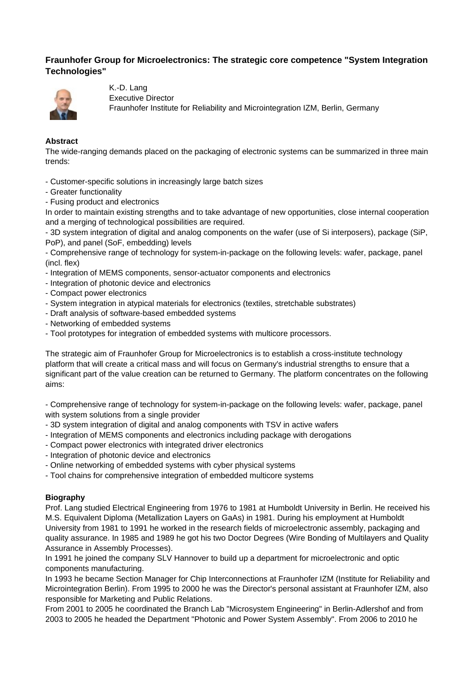## **Fraunhofer Group for Microelectronics: The strategic core competence "System Integration Technologies"**



K.-D. Lang Executive Director Fraunhofer Institute for Reliability and Microintegration IZM, Berlin, Germany

### **Abstract**

The wide-ranging demands placed on the packaging of electronic systems can be summarized in three main trends:

- Customer-specific solutions in increasingly large batch sizes

- Greater functionality
- Fusing product and electronics

In order to maintain existing strengths and to take advantage of new opportunities, close internal cooperation and a merging of technological possibilities are required.

- 3D system integration of digital and analog components on the wafer (use of Si interposers), package (SiP, PoP), and panel (SoF, embedding) levels

- Comprehensive range of technology for system-in-package on the following levels: wafer, package, panel (incl. flex)

- Integration of MEMS components, sensor-actuator components and electronics
- Integration of photonic device and electronics
- Compact power electronics
- System integration in atypical materials for electronics (textiles, stretchable substrates)
- Draft analysis of software-based embedded systems
- Networking of embedded systems
- Tool prototypes for integration of embedded systems with multicore processors.

The strategic aim of Fraunhofer Group for Microelectronics is to establish a cross-institute technology platform that will create a critical mass and will focus on Germany's industrial strengths to ensure that a significant part of the value creation can be returned to Germany. The platform concentrates on the following aims:

- Comprehensive range of technology for system-in-package on the following levels: wafer, package, panel with system solutions from a single provider

- 3D system integration of digital and analog components with TSV in active wafers
- Integration of MEMS components and electronics including package with derogations
- Compact power electronics with integrated driver electronics
- Integration of photonic device and electronics
- Online networking of embedded systems with cyber physical systems
- Tool chains for comprehensive integration of embedded multicore systems

#### **Biography**

Prof. Lang studied Electrical Engineering from 1976 to 1981 at Humboldt University in Berlin. He received his M.S. Equivalent Diploma (Metallization Layers on GaAs) in 1981. During his employment at Humboldt University from 1981 to 1991 he worked in the research fields of microelectronic assembly, packaging and quality assurance. In 1985 and 1989 he got his two Doctor Degrees (Wire Bonding of Multilayers and Quality Assurance in Assembly Processes).

In 1991 he joined the company SLV Hannover to build up a department for microelectronic and optic components manufacturing.

In 1993 he became Section Manager for Chip Interconnections at Fraunhofer IZM (Institute for Reliability and Microintegration Berlin). From 1995 to 2000 he was the Director's personal assistant at Fraunhofer IZM, also responsible for Marketing and Public Relations.

From 2001 to 2005 he coordinated the Branch Lab "Microsystem Engineering" in Berlin-Adlershof and from 2003 to 2005 he headed the Department "Photonic and Power System Assembly". From 2006 to 2010 he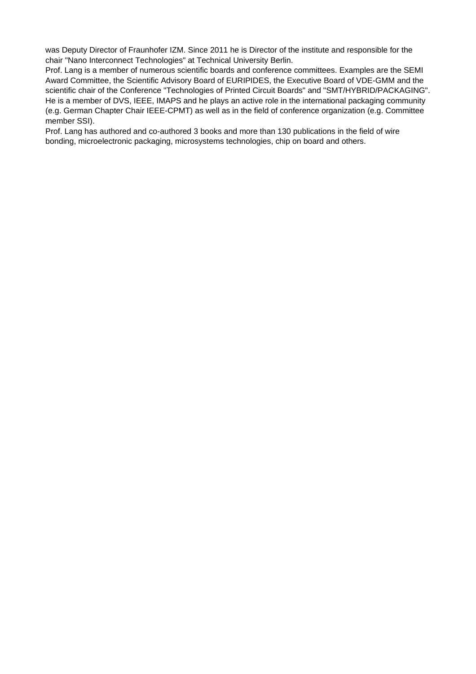was Deputy Director of Fraunhofer IZM. Since 2011 he is Director of the institute and responsible for the chair "Nano Interconnect Technologies" at Technical University Berlin.

Prof. Lang is a member of numerous scientific boards and conference committees. Examples are the SEMI Award Committee, the Scientific Advisory Board of EURIPIDES, the Executive Board of VDE-GMM and the scientific chair of the Conference "Technologies of Printed Circuit Boards" and "SMT/HYBRID/PACKAGING". He is a member of DVS, IEEE, IMAPS and he plays an active role in the international packaging community (e.g. German Chapter Chair IEEE-CPMT) as well as in the field of conference organization (e.g. Committee member SSI).

Prof. Lang has authored and co-authored 3 books and more than 130 publications in the field of wire bonding, microelectronic packaging, microsystems technologies, chip on board and others.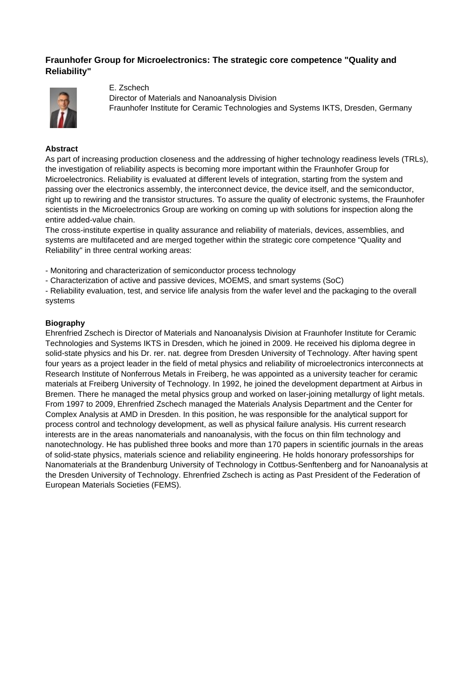### **Fraunhofer Group for Microelectronics: The strategic core competence "Quality and Reliability"**



E. Zschech

Director of Materials and Nanoanalysis Division Fraunhofer Institute for Ceramic Technologies and Systems IKTS, Dresden, Germany

#### **Abstract**

As part of increasing production closeness and the addressing of higher technology readiness levels (TRLs), the investigation of reliability aspects is becoming more important within the Fraunhofer Group for Microelectronics. Reliability is evaluated at different levels of integration, starting from the system and passing over the electronics assembly, the interconnect device, the device itself, and the semiconductor, right up to rewiring and the transistor structures. To assure the quality of electronic systems, the Fraunhofer scientists in the Microelectronics Group are working on coming up with solutions for inspection along the entire added-value chain.

The cross-institute expertise in quality assurance and reliability of materials, devices, assemblies, and systems are multifaceted and are merged together within the strategic core competence "Quality and Reliability" in three central working areas:

- Monitoring and characterization of semiconductor process technology

- Characterization of active and passive devices, MOEMS, and smart systems (SoC)

- Reliability evaluation, test, and service life analysis from the wafer level and the packaging to the overall systems

#### **Biography**

Ehrenfried Zschech is Director of Materials and Nanoanalysis Division at Fraunhofer Institute for Ceramic Technologies and Systems IKTS in Dresden, which he joined in 2009. He received his diploma degree in solid-state physics and his Dr. rer. nat. degree from Dresden University of Technology. After having spent four years as a project leader in the field of metal physics and reliability of microelectronics interconnects at Research Institute of Nonferrous Metals in Freiberg, he was appointed as a university teacher for ceramic materials at Freiberg University of Technology. In 1992, he joined the development department at Airbus in Bremen. There he managed the metal physics group and worked on laser-joining metallurgy of light metals. From 1997 to 2009, Ehrenfried Zschech managed the Materials Analysis Department and the Center for Complex Analysis at AMD in Dresden. In this position, he was responsible for the analytical support for process control and technology development, as well as physical failure analysis. His current research interests are in the areas nanomaterials and nanoanalysis, with the focus on thin film technology and nanotechnology. He has published three books and more than 170 papers in scientific journals in the areas of solid-state physics, materials science and reliability engineering. He holds honorary professorships for Nanomaterials at the Brandenburg University of Technology in Cottbus-Senftenberg and for Nanoanalysis at the Dresden University of Technology. Ehrenfried Zschech is acting as Past President of the Federation of European Materials Societies (FEMS).